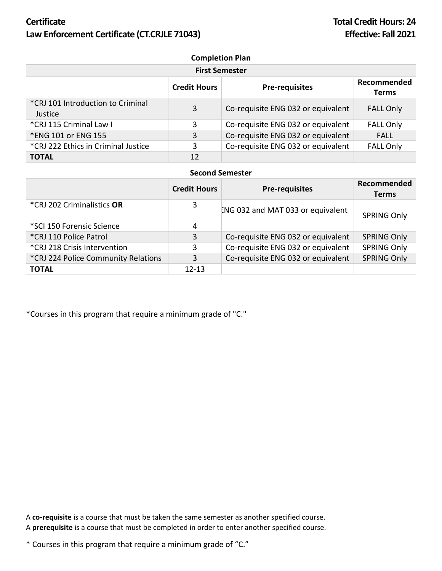## **Certificate Total Credit Hours: 24** Law Enforcement Certificate (CT.CRJLE 71043) **Effective: Fall 2021**

| <b>Completion Plan</b>                        |                     |                                    |                             |  |  |
|-----------------------------------------------|---------------------|------------------------------------|-----------------------------|--|--|
| <b>First Semester</b>                         |                     |                                    |                             |  |  |
|                                               | <b>Credit Hours</b> | <b>Pre-requisites</b>              | Recommended<br><b>Terms</b> |  |  |
| *CRJ 101 Introduction to Criminal<br>Justice. | 3                   | Co-requisite ENG 032 or equivalent | <b>FALL Only</b>            |  |  |
| *CRJ 115 Criminal Law I                       | 3                   | Co-requisite ENG 032 or equivalent | <b>FALL Only</b>            |  |  |
| *ENG 101 or ENG 155                           | 3                   | Co-requisite ENG 032 or equivalent | <b>FALL</b>                 |  |  |
| *CRJ 222 Ethics in Criminal Justice           | 3                   | Co-requisite ENG 032 or equivalent | <b>FALL Only</b>            |  |  |
| <b>TOTAL</b>                                  | 12                  |                                    |                             |  |  |

## **Second Semester**

|                                     | <b>Credit Hours</b> | <b>Pre-requisites</b>              | Recommended<br><b>Terms</b> |
|-------------------------------------|---------------------|------------------------------------|-----------------------------|
| *CRJ 202 Criminalistics OR          | 3                   | ENG 032 and MAT 033 or equivalent  | <b>SPRING Only</b>          |
| *SCI 150 Forensic Science           | 4                   |                                    |                             |
| *CRJ 110 Police Patrol              | 3                   | Co-requisite ENG 032 or equivalent | <b>SPRING Only</b>          |
| *CRJ 218 Crisis Intervention        | 3                   | Co-requisite ENG 032 or equivalent | <b>SPRING Only</b>          |
| *CRJ 224 Police Community Relations | 3                   | Co-requisite ENG 032 or equivalent | <b>SPRING Only</b>          |
| <b>TOTAL</b>                        | $12 - 13$           |                                    |                             |

\*Courses in this program that require a minimum grade of "C."

A **co-requisite** is a course that must be taken the same semester as another specified course. A **prerequisite** is a course that must be completed in order to enter another specified course.

\* Courses in this program that require a minimum grade of "C."